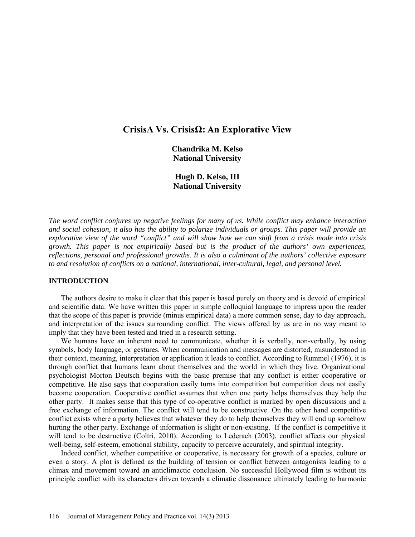# **CrisisΛ Vs. CrisisΩ: An Explorative View**

**Chandrika M. Kelso National University** 

**Hugh D. Kelso, III National University**

*The word conflict conjures up negative feelings for many of us. While conflict may enhance interaction and social cohesion, it also has the ability to polarize individuals or groups. This paper will provide an explorative view of the word "conflict" and will show how we can shift from a crisis mode into crisis growth. This paper is not empirically based but is the product of the authors' own experiences, reflections, personal and professional growths. It is also a culminant of the authors' collective exposure to and resolution of conflicts on a national, international, inter-cultural, legal, and personal level.* 

#### **INTRODUCTION**

The authors desire to make it clear that this paper is based purely on theory and is devoid of empirical and scientific data. We have written this paper in simple colloquial language to impress upon the reader that the scope of this paper is provide (minus empirical data) a more common sense, day to day approach, and interpretation of the issues surrounding conflict. The views offered by us are in no way meant to imply that they have been tested and tried in a research setting.

We humans have an inherent need to communicate, whether it is verbally, non-verbally, by using symbols, body language, or gestures. When communication and messages are distorted, misunderstood in their context, meaning, interpretation or application it leads to conflict. According to Rummel (1976), it is through conflict that humans learn about themselves and the world in which they live. Organizational psychologist Morton Deutsch begins with the basic premise that any conflict is either cooperative or competitive. He also says that cooperation easily turns into competition but competition does not easily become cooperation. Cooperative conflict assumes that when one party helps themselves they help the other party. It makes sense that this type of co-operative conflict is marked by open discussions and a free exchange of information. The conflict will tend to be constructive. On the other hand competitive conflict exists where a party believes that whatever they do to help themselves they will end up somehow hurting the other party. Exchange of information is slight or non-existing. If the conflict is competitive it will tend to be destructive (Coltri, 2010). According to Lederach (2003), conflict affects our physical well-being, self-esteem, emotional stability, capacity to perceive accurately, and spiritual integrity.

Indeed conflict, whether competitive or cooperative, is necessary for growth of a species, culture or even a story. A plot is defined as the building of tension or conflict between antagonists leading to a climax and movement toward an anticlimactic conclusion. No successful Hollywood film is without its principle conflict with its characters driven towards a climatic dissonance ultimately leading to harmonic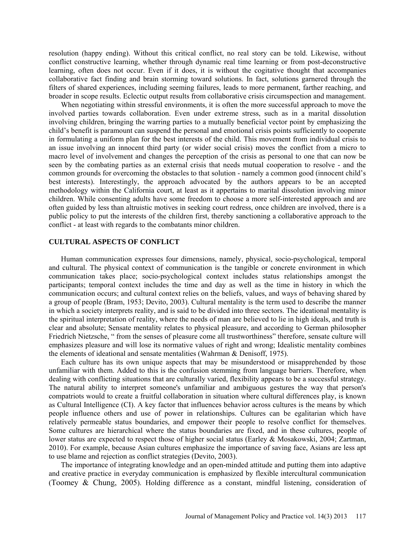resolution (happy ending). Without this critical conflict, no real story can be told. Likewise, without conflict constructive learning, whether through dynamic real time learning or from post-deconstructive learning, often does not occur. Even if it does, it is without the cogitative thought that accompanies collaborative fact finding and brain storming toward solutions. In fact, solutions garnered through the filters of shared experiences, including seeming failures, leads to more permanent, farther reaching, and broader in scope results. Eclectic output results from collaborative crisis circumspection and management.

When negotiating within stressful environments, it is often the more successful approach to move the involved parties towards collaboration. Even under extreme stress, such as in a marital dissolution involving children, bringing the warring parties to a mutually beneficial vector point by emphasizing the child's benefit is paramount can suspend the personal and emotional crisis points sufficiently to cooperate in formulating a uniform plan for the best interests of the child. This movement from individual crisis to an issue involving an innocent third party (or wider social crisis) moves the conflict from a micro to macro level of involvement and changes the perception of the crisis as personal to one that can now be seen by the combating parties as an external crisis that needs mutual cooperation to resolve - and the common grounds for overcoming the obstacles to that solution - namely a common good (innocent child's best interests). Interestingly, the approach advocated by the authors appears to be an accepted methodology within the California court, at least as it appertains to marital dissolution involving minor children. While consenting adults have some freedom to choose a more self-interested approach and are often guided by less than altruistic motives in seeking court redress, once children are involved, there is a public policy to put the interests of the children first, thereby sanctioning a collaborative approach to the conflict - at least with regards to the combatants minor children.

### **CULTURAL ASPECTS OF CONFLICT**

Human communication expresses four dimensions, namely, physical, socio-psychological, temporal and cultural. The physical context of communication is the tangible or concrete environment in which communication takes place; socio-psychological context includes status relationships amongst the participants; temporal context includes the time and day as well as the time in history in which the communication occurs; and cultural context relies on the beliefs, values, and ways of behaving shared by a group of people (Bram, 1953; Devito, 2003). Cultural mentality is the term used to describe the manner in which a society interprets reality, and is said to be divided into three sectors. The ideational mentality is the spiritual interpretation of reality, where the needs of man are believed to lie in high ideals, and truth is clear and absolute; Sensate mentality relates to physical pleasure, and according to German philosopher Friedrich Nietzsche, " from the senses of pleasure come all trustworthiness" therefore, sensate culture will emphasizes pleasure and will lose its normative values of right and wrong; Idealistic mentality combines the elements of ideational and sensate mentalities (Wahrman & Denisoff, 1975).

Each culture has its own unique aspects that may be misunderstood or misapprehended by those unfamiliar with them. Added to this is the confusion stemming from language barriers. Therefore, when dealing with conflicting situations that are culturally varied, flexibility appears to be a successful strategy. The natural ability to interpret someone's unfamiliar and ambiguous gestures the way that person's compatriots would to create a fruitful collaboration in situation where cultural differences play, is known as Cultural Intelligence (CI). A key factor that influences behavior across cultures is the means by which people influence others and use of power in relationships. Cultures can be egalitarian which have relatively permeable status boundaries, and empower their people to resolve conflict for themselves. Some cultures are hierarchical where the status boundaries are fixed, and in these cultures, people of lower status are expected to respect those of higher social status (Earley & Mosakowski, 2004; Zartman, 2010). For example, because Asian cultures emphasize the importance of saving face, Asians are less apt to use blame and rejection as conflict strategies (Devito, 2003).

The importance of integrating knowledge and an open-minded attitude and putting them into adaptive and creative practice in everyday communication is emphasized by flexible intercultural communication (Toomey & Chung, 2005). Holding difference as a constant, mindful listening, consideration of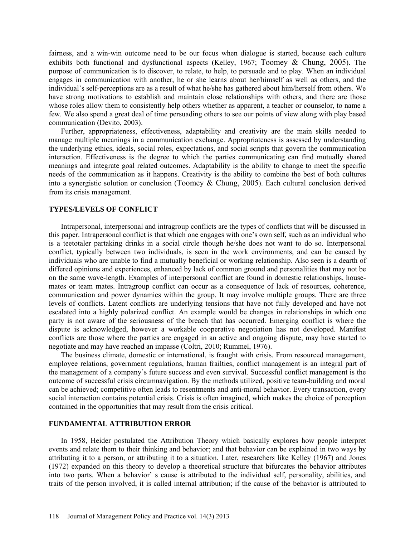fairness, and a win-win outcome need to be our focus when dialogue is started, because each culture exhibits both functional and dysfunctional aspects (Kelley, 1967; Toomey & Chung, 2005). The purpose of communication is to discover, to relate, to help, to persuade and to play. When an individual engages in communication with another, he or she learns about her/himself as well as others, and the individual's self-perceptions are as a result of what he/she has gathered about him/herself from others. We have strong motivations to establish and maintain close relationships with others, and there are those whose roles allow them to consistently help others whether as apparent, a teacher or counselor, to name a few. We also spend a great deal of time persuading others to see our points of view along with play based communication (Devito, 2003).

Further, appropriateness, effectiveness, adaptability and creativity are the main skills needed to manage multiple meanings in a communication exchange. Appropriateness is assessed by understanding the underlying ethics, ideals, social roles, expectations, and social scripts that govern the communication interaction. Effectiveness is the degree to which the parties communicating can find mutually shared meanings and integrate goal related outcomes. Adaptability is the ability to change to meet the specific needs of the communication as it happens. Creativity is the ability to combine the best of both cultures into a synergistic solution or conclusion (Toomey & Chung, 2005). Each cultural conclusion derived from its crisis management.

### **TYPES/LEVELS OF CONFLICT**

Intrapersonal, interpersonal and intragroup conflicts are the types of conflicts that will be discussed in this paper. Intrapersonal conflict is that which one engages with one's own self, such as an individual who is a teetotaler partaking drinks in a social circle though he/she does not want to do so. Interpersonal conflict, typically between two individuals, is seen in the work environments, and can be caused by individuals who are unable to find a mutually beneficial or working relationship. Also seen is a dearth of differed opinions and experiences, enhanced by lack of common ground and personalities that may not be on the same wave-length. Examples of interpersonal conflict are found in domestic relationships, housemates or team mates. Intragroup conflict can occur as a consequence of lack of resources, coherence, communication and power dynamics within the group. It may involve multiple groups. There are three levels of conflicts. Latent conflicts are underlying tensions that have not fully developed and have not escalated into a highly polarized conflict. An example would be changes in relationships in which one party is not aware of the seriousness of the breach that has occurred. Emerging conflict is where the dispute is acknowledged, however a workable cooperative negotiation has not developed. Manifest conflicts are those where the parties are engaged in an active and ongoing dispute, may have started to negotiate and may have reached an impasse (Coltri, 2010; Rummel, 1976).

The business climate, domestic or international, is fraught with crisis. From resourced management, employee relations, government regulations, human frailties, conflict management is an integral part of the management of a company's future success and even survival. Successful conflict management is the outcome of successful crisis circumnavigation. By the methods utilized, positive team-building and moral can be achieved; competitive often leads to resentments and anti-moral behavior. Every transaction, every social interaction contains potential crisis. Crisis is often imagined, which makes the choice of perception contained in the opportunities that may result from the crisis critical.

### **FUNDAMENTAL ATTRIBUTION ERROR**

In 1958, Heider postulated the Attribution Theory which basically explores how people interpret events and relate them to their thinking and behavior; and that behavior can be explained in two ways by attributing it to a person, or attributing it to a situation. Later, researchers like Kelley (1967) and Jones (1972) expanded on this theory to develop a theoretical structure that bifurcates the behavior attributes into two parts. When a behavior' s cause is attributed to the individual self, personality, abilities, and traits of the person involved, it is called internal attribution; if the cause of the behavior is attributed to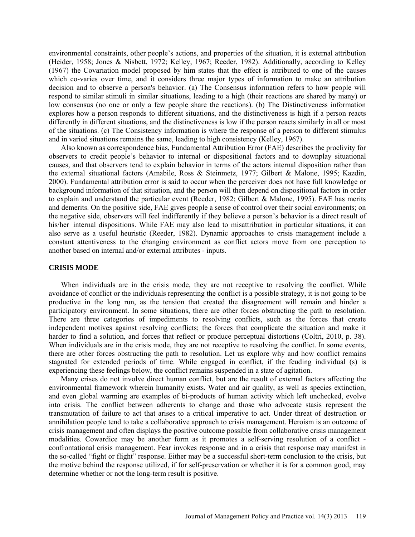environmental constraints, other people's actions, and properties of the situation, it is external attribution (Heider, 1958; Jones & Nisbett, 1972; Kelley, 1967; Reeder, 1982). Additionally, according to Kelley (1967) the Covariation model proposed by him states that the effect is attributed to one of the causes which co-varies over time, and it considers three major types of information to make an attribution decision and to observe a person's behavior. (a) The Consensus information refers to how people will respond to similar stimuli in similar situations, leading to a high (their reactions are shared by many) or low consensus (no one or only a few people share the reactions). (b) The Distinctiveness information explores how a person responds to different situations, and the distinctiveness is high if a person reacts differently in different situations, and the distinctiveness is low if the person reacts similarly in all or most of the situations. (c) The Consistency information is where the response of a person to different stimulus and in varied situations remains the same, leading to high consistency (Kelley, 1967).

Also known as correspondence bias, Fundamental Attribution Error (FAE) describes the proclivity for observers to credit people's behavior to internal or dispositional factors and to downplay situational causes, and that observers tend to explain behavior in terms of the actors internal disposition rather than the external situational factors (Amabile, Ross & Steinmetz, 1977; Gilbert & Malone, 1995; Kazdin, 2000). Fundamental attribution error is said to occur when the perceiver does not have full knowledge or background information of that situation, and the person will then depend on dispositional factors in order to explain and understand the particular event (Reeder, 1982; Gilbert & Malone, 1995). FAE has merits and demerits. On the positive side, FAE gives people a sense of control over their social environments; on the negative side, observers will feel indifferently if they believe a person's behavior is a direct result of his/her internal dispositions. While FAE may also lead to misattribution in particular situations, it can also serve as a useful heuristic (Reeder, 1982). Dynamic approaches to crisis management include a constant attentiveness to the changing environment as conflict actors move from one perception to another based on internal and/or external attributes - inputs.

#### **CRISIS MODE**

When individuals are in the crisis mode, they are not receptive to resolving the conflict. While avoidance of conflict or the individuals representing the conflict is a possible strategy, it is not going to be productive in the long run, as the tension that created the disagreement will remain and hinder a participatory environment. In some situations, there are other forces obstructing the path to resolution. There are three categories of impediments to resolving conflicts, such as the forces that create independent motives against resolving conflicts; the forces that complicate the situation and make it harder to find a solution, and forces that reflect or produce perceptual distortions (Coltri, 2010, p. 38). When individuals are in the crisis mode, they are not receptive to resolving the conflict. In some events, there are other forces obstructing the path to resolution. Let us explore why and how conflict remains stagnated for extended periods of time. While engaged in conflict, if the feuding individual (s) is experiencing these feelings below, the conflict remains suspended in a state of agitation.

Many crises do not involve direct human conflict, but are the result of external factors affecting the environmental framework wherein humanity exists. Water and air quality, as well as species extinction, and even global warming are examples of bi-products of human activity which left unchecked, evolve into crisis. The conflict between adherents to change and those who advocate stasis represent the transmutation of failure to act that arises to a critical imperative to act. Under threat of destruction or annihilation people tend to take a collaborative approach to crisis management. Heroism is an outcome of crisis management and often displays the positive outcome possible from collaborative crisis management modalities. Cowardice may be another form as it promotes a self-serving resolution of a conflict confrontational crisis management. Fear invokes response and in a crisis that response may manifest in the so-called "fight or flight" response. Either may be a successful short-term conclusion to the crisis, but the motive behind the response utilized, if for self-preservation or whether it is for a common good, may determine whether or not the long-term result is positive.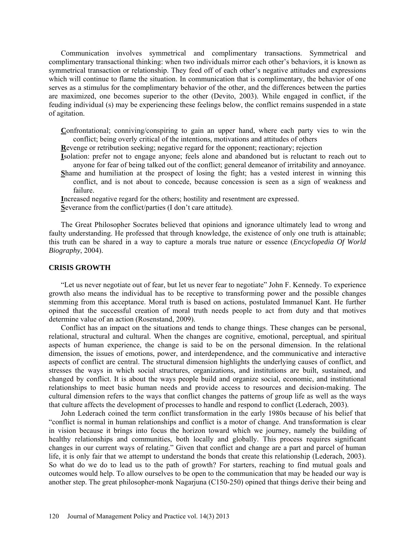Communication involves symmetrical and complimentary transactions. Symmetrical and complimentary transactional thinking: when two individuals mirror each other's behaviors, it is known as symmetrical transaction or relationship. They feed off of each other's negative attitudes and expressions which will continue to flame the situation. In communication that is complimentary, the behavior of one serves as a stimulus for the complimentary behavior of the other, and the differences between the parties are maximized, one becomes superior to the other (Devito, 2003). While engaged in conflict, if the feuding individual (s) may be experiencing these feelings below, the conflict remains suspended in a state of agitation.

**C**onfrontational; conniving/conspiring to gain an upper hand, where each party vies to win the conflict; being overly critical of the intentions, motivations and attitudes of others

**R**evenge or retribution seeking; negative regard for the opponent; reactionary; rejection

**I**solation: prefer not to engage anyone; feels alone and abandoned but is reluctant to reach out to anyone for fear of being talked out of the conflict; general demeanor of irritability and annoyance.

**S**hame and humiliation at the prospect of losing the fight; has a vested interest in winning this conflict, and is not about to concede, because concession is seen as a sign of weakness and failure.

**I**ncreased negative regard for the others; hostility and resentment are expressed.

**S**everance from the conflict/parties (I don't care attitude).

The Great Philosopher Socrates believed that opinions and ignorance ultimately lead to wrong and faulty understanding. He professed that through knowledge, the existence of only one truth is attainable; this truth can be shared in a way to capture a morals true nature or essence (*Encyclopedia Of World Biography*, 2004).

### **CRISIS GROWTH**

"Let us never negotiate out of fear, but let us never fear to negotiate" John F. Kennedy. To experience growth also means the individual has to be receptive to transforming power and the possible changes stemming from this acceptance. Moral truth is based on actions, postulated Immanuel Kant. He further opined that the successful creation of moral truth needs people to act from duty and that motives determine value of an action (Rosenstand, 2009).

Conflict has an impact on the situations and tends to change things. These changes can be personal, relational, structural and cultural. When the changes are cognitive, emotional, perceptual, and spiritual aspects of human experience, the change is said to be on the personal dimension. In the relational dimension, the issues of emotions, power, and interdependence, and the communicative and interactive aspects of conflict are central. The structural dimension highlights the underlying causes of conflict, and stresses the ways in which social structures, organizations, and institutions are built, sustained, and changed by conflict. It is about the ways people build and organize social, economic, and institutional relationships to meet basic human needs and provide access to resources and decision-making. The cultural dimension refers to the ways that conflict changes the patterns of group life as well as the ways that culture affects the development of processes to handle and respond to conflict (Lederach, 2003).

John Lederach coined the term conflict transformation in the early 1980s because of his belief that "conflict is normal in human relationships and conflict is a motor of change. And transformation is clear in vision because it brings into focus the horizon toward which we journey, namely the building of healthy relationships and communities, both locally and globally. This process requires significant changes in our current ways of relating." Given that conflict and change are a part and parcel of human life, it is only fair that we attempt to understand the bonds that create this relationship (Lederach, 2003). So what do we do to lead us to the path of growth? For starters, reaching to find mutual goals and outcomes would help. To allow ourselves to be open to the communication that may be headed our way is another step. The great philosopher-monk Nagarjuna (C150-250) opined that things derive their being and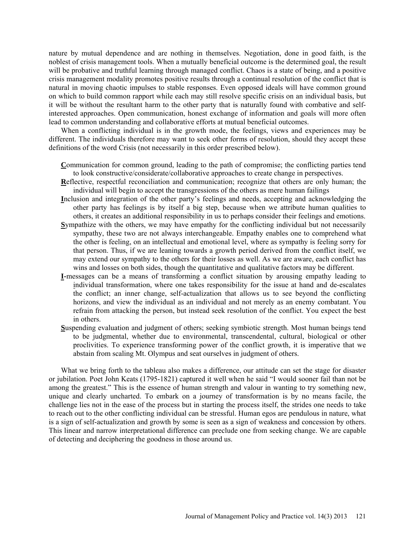nature by mutual dependence and are nothing in themselves. Negotiation, done in good faith, is the noblest of crisis management tools. When a mutually beneficial outcome is the determined goal, the result will be probative and truthful learning through managed conflict. Chaos is a state of being, and a positive crisis management modality promotes positive results through a continual resolution of the conflict that is natural in moving chaotic impulses to stable responses. Even opposed ideals will have common ground on which to build common rapport while each may still resolve specific crisis on an individual basis, but it will be without the resultant harm to the other party that is naturally found with combative and selfinterested approaches. Open communication, honest exchange of information and goals will more often lead to common understanding and collaborative efforts at mutual beneficial outcomes.

When a conflicting individual is in the growth mode, the feelings, views and experiences may be different. The individuals therefore may want to seek other forms of resolution, should they accept these definitions of the word Crisis (not necessarily in this order prescribed below).

- **C**ommunication for common ground, leading to the path of compromise; the conflicting parties tend to look constructive/considerate/collaborative approaches to create change in perspectives.
- **R**eflective, respectful reconciliation and communication; recognize that others are only human; the individual will begin to accept the transgressions of the others as mere human failings
- **I**nclusion and integration of the other party's feelings and needs, accepting and acknowledging the other party has feelings is by itself a big step, because when we attribute human qualities to others, it creates an additional responsibility in us to perhaps consider their feelings and emotions.
- **S**ympathize with the others, we may have empathy for the conflicting individual but not necessarily sympathy, these two are not always interchangeable. Empathy enables one to comprehend what the other is feeling, on an intellectual and emotional level, where as sympathy is feeling sorry for that person. Thus, if we are leaning towards a growth period derived from the conflict itself, we may extend our sympathy to the others for their losses as well. As we are aware, each conflict has wins and losses on both sides, though the quantitative and qualitative factors may be different.
- **I-**messages can be a means of transforming a conflict situation by arousing empathy leading to individual transformation, where one takes responsibility for the issue at hand and de-escalates the conflict; an inner change, self-actualization that allows us to see beyond the conflicting horizons, and view the individual as an individual and not merely as an enemy combatant. You refrain from attacking the person, but instead seek resolution of the conflict. You expect the best in others.
- **S**uspending evaluation and judgment of others; seeking symbiotic strength. Most human beings tend to be judgmental, whether due to environmental, transcendental, cultural, biological or other proclivities. To experience transforming power of the conflict growth, it is imperative that we abstain from scaling Mt. Olympus and seat ourselves in judgment of others.

What we bring forth to the tableau also makes a difference, our attitude can set the stage for disaster or jubilation. Poet John Keats (1795-1821) captured it well when he said "I would sooner fail than not be among the greatest." This is the essence of human strength and valour in wanting to try something new, unique and clearly uncharted. To embark on a journey of transformation is by no means facile, the challenge lies not in the ease of the process but in starting the process itself, the strides one needs to take to reach out to the other conflicting individual can be stressful. Human egos are pendulous in nature, what is a sign of self-actualization and growth by some is seen as a sign of weakness and concession by others. This linear and narrow interpretational difference can preclude one from seeking change. We are capable of detecting and deciphering the goodness in those around us.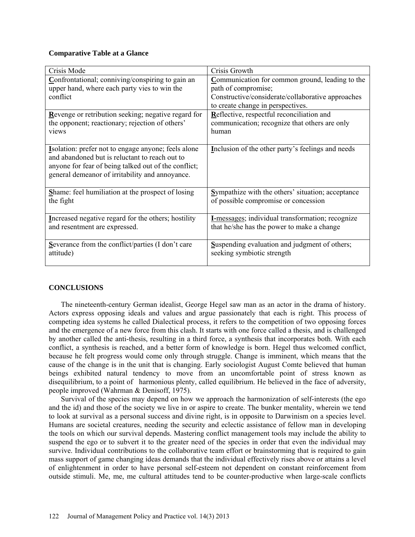### **Comparative Table at a Glance**

| Crisis Mode                                              | Crisis Growth                                            |
|----------------------------------------------------------|----------------------------------------------------------|
| Confrontational; conniving/conspiring to gain an         | Communication for common ground, leading to the          |
| upper hand, where each party vies to win the             | path of compromise;                                      |
| conflict                                                 | Constructive/considerate/collaborative approaches        |
|                                                          | to create change in perspectives.                        |
| Revenge or retribution seeking; negative regard for      | Reflective, respectful reconciliation and                |
| the opponent; reactionary; rejection of others'          | communication; recognize that others are only            |
| views                                                    | human                                                    |
|                                                          |                                                          |
| Isolation: prefer not to engage anyone; feels alone      | Inclusion of the other party's feelings and needs        |
| and abandoned but is reluctant to reach out to           |                                                          |
| anyone for fear of being talked out of the conflict;     |                                                          |
| general demeanor of irritability and annoyance.          |                                                          |
|                                                          |                                                          |
| <b>Shame:</b> feel humiliation at the prospect of losing | <b>Sympathize with the others' situation; acceptance</b> |
| the fight                                                | of possible compromise or concession                     |
|                                                          |                                                          |
| Increased negative regard for the others; hostility      | I-messages; individual transformation; recognize         |
| and resentment are expressed.                            | that he/she has the power to make a change               |
|                                                          |                                                          |
| Severance from the conflict/parties (I don't care        | <b>Suspending evaluation and judgment of others;</b>     |
| attitude)                                                | seeking symbiotic strength                               |
|                                                          |                                                          |

### **CONCLUSIONS**

The nineteenth-century German idealist, George Hegel saw man as an actor in the drama of history. Actors express opposing ideals and values and argue passionately that each is right. This process of competing idea systems he called Dialectical process, it refers to the competition of two opposing forces and the emergence of a new force from this clash. It starts with one force called a thesis, and is challenged by another called the anti-thesis, resulting in a third force, a synthesis that incorporates both. With each conflict, a synthesis is reached, and a better form of knowledge is born. Hegel thus welcomed conflict, because he felt progress would come only through struggle. Change is imminent, which means that the cause of the change is in the unit that is changing. Early sociologist August Comte believed that human beings exhibited natural tendency to move from an uncomfortable point of stress known as disequilibrium, to a point of harmonious plenty, called equilibrium. He believed in the face of adversity, people improved (Wahrman & Denisoff, 1975).

Survival of the species may depend on how we approach the harmonization of self-interests (the ego and the id) and those of the society we live in or aspire to create. The bunker mentality, wherein we tend to look at survival as a personal success and divine right, is in opposite to Darwinism on a species level. Humans are societal creatures, needing the security and eclectic assistance of fellow man in developing the tools on which our survival depends. Mastering conflict management tools may include the ability to suspend the ego or to subvert it to the greater need of the species in order that even the individual may survive. Individual contributions to the collaborative team effort or brainstorming that is required to gain mass support of game changing ideas demands that the individual effectively rises above or attains a level of enlightenment in order to have personal self-esteem not dependent on constant reinforcement from outside stimuli. Me, me, me cultural attitudes tend to be counter-productive when large-scale conflicts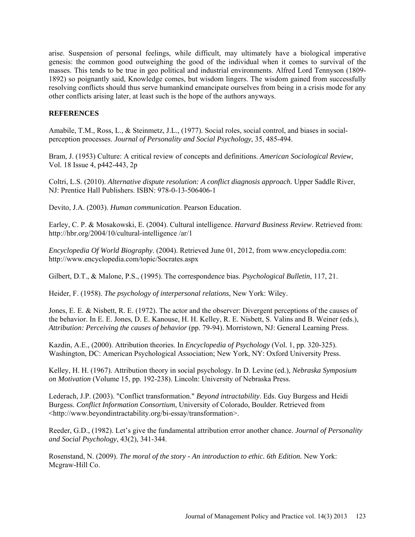arise. Suspension of personal feelings, while difficult, may ultimately have a biological imperative genesis: the common good outweighing the good of the individual when it comes to survival of the masses. This tends to be true in geo political and industrial environments. Alfred Lord Tennyson (1809- 1892) so poignantly said, Knowledge comes, but wisdom lingers. The wisdom gained from successfully resolving conflicts should thus serve humankind emancipate ourselves from being in a crisis mode for any other conflicts arising later, at least such is the hope of the authors anyways.

## **REFERENCES**

Amabile, T.M., Ross, L., & Steinmetz, J.L., (1977). Social roles, social control, and biases in socialperception processes. *Journal of Personality and Social Psychology*, 35, 485-494.

Bram, J. (1953) Culture: A critical review of concepts and definitions. *American Sociological Review*, Vol. 18 Issue 4, p442-443, 2p

Coltri, L.S. (2010). *Alternative dispute resolution: A conflict diagnosis approach.* Upper Saddle River, NJ: Prentice Hall Publishers. ISBN: 978-0-13-506406-1

Devito, J.A. (2003). *Human communication*. Pearson Education.

Earley, C. P. & Mosakowski, E. (2004). Cultural intelligence. *Harvard Business Review*. Retrieved from: http://hbr.org/2004/10/cultural-intelligence /ar/1

*Encyclopedia Of World Biography*. (2004). Retrieved June 01, 2012, from www.encyclopedia.com: <http://www.encyclopedia.com/topic/Socrates.aspx>

Gilbert, D.T., & Malone, P.S., (1995). The correspondence bias. *Psychological Bulletin*, 117, 21.

Heider, F. (1958). *The psychology of interpersonal relations*, New York: Wiley.

Jones, E. E. & Nisbett, R. E. (1972). The actor and the observer: Divergent perceptions of the causes of the behavior. In E. E. Jones, D. E. Kanouse, H. H. Kelley, R. E. Nisbett, S. Valins and B. Weiner (eds.), *Attribution: Perceiving the causes of behavior* (pp. 79-94). Morristown, NJ: General Learning Press.

Kazdin, A.E., (2000). Attribution theories. In *Encyclopedia of Psychology* (Vol. 1, pp. 320-325). Washington, DC: American Psychological Association; New York, NY: Oxford University Press.

Kelley, H. H. (1967). Attribution theory in social psychology. In D. Levine (ed.), *Nebraska Symposium on Motivation* (Volume 15, pp. 192-238). Lincoln: University of Nebraska Press.

Lederach, J.P. (2003). "Conflict transformation." *Beyond intractability*. Eds. Guy Burgess and Heidi Burgess. *Conflict Information Consortium*, University of Colorado, Boulder. Retrieved from [<http://www.beyondintractability.org/bi-essay/transformation>](http://www.beyondintractability.org/bi-essay/transformation).

Reeder, G.D., (1982). Let's give the fundamental attribution error another chance. *Journal of Personality and Social Psychology*, 43(2), 341-344.

Rosenstand, N. (2009). *The moral of the story - An introduction to ethic. 6th Edition.* New York: Mcgraw-Hill Co.